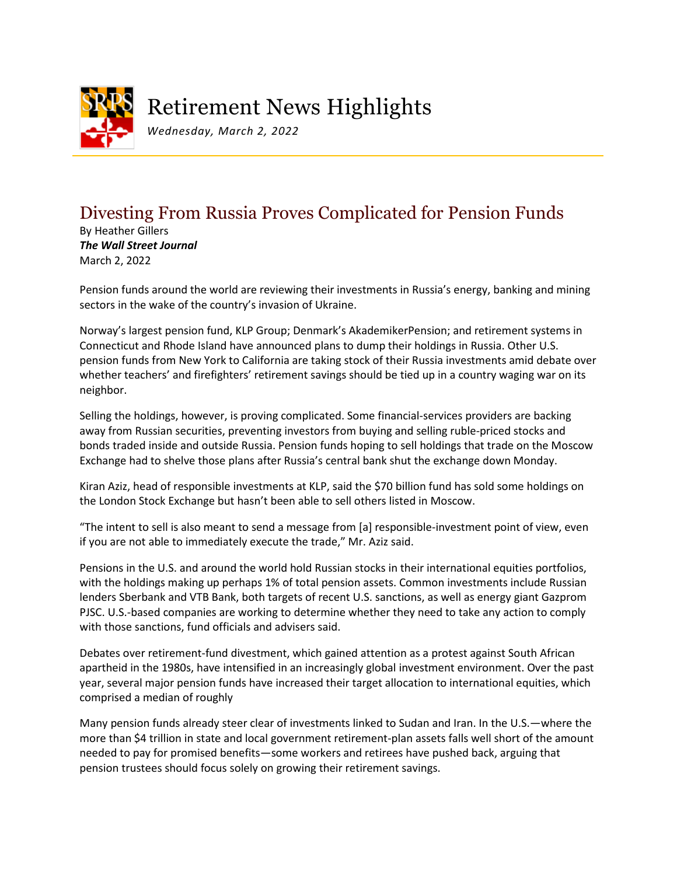

## Retirement News Highlights

*Wednesday, March 2, 2022*

## Divesting From Russia Proves Complicated for Pension Funds

By Heather Gillers *The Wall Street Journal* March 2, 2022

Pension funds around the world are reviewing their investments in Russia's energy, banking and mining sectors in the wake of the country's invasion of Ukraine.

Norway's largest pension fund, KLP Group; Denmark's AkademikerPension; and retirement systems in Connecticut and Rhode Island have announced plans to dump their holdings in Russia. Other U.S. pension funds from New York to California are taking stock of their Russia investments amid debate over whether teachers' and firefighters' retirement savings should be tied up in a country waging war on its neighbor.

Selling the holdings, however, is proving complicated. Some financial-services providers are backing away from Russian securities, preventing investors from buying and selling ruble-priced stocks and bonds traded inside and outside Russia. Pension funds hoping to sell holdings that trade on the Moscow Exchange had to shelve those plans after Russia's central bank shut the exchange down Monday.

Kiran Aziz, head of responsible investments at KLP, said the \$70 billion fund has sold some holdings on the London Stock Exchange but hasn't been able to sell others listed in Moscow.

"The intent to sell is also meant to send a message from [a] responsible-investment point of view, even if you are not able to immediately execute the trade," Mr. Aziz said.

Pensions in the U.S. and around the world hold Russian stocks in their international equities portfolios, with the holdings making up perhaps 1% of total pension assets. Common investments include Russian lenders Sberbank and VTB Bank, both targets of recent U.S. sanctions, as well as energy giant Gazprom PJSC. U.S.-based companies are working to determine whether they need to take any action to comply with those sanctions, fund officials and advisers said.

Debates over retirement-fund divestment, which gained attention as a protest against South African apartheid in the 1980s, have intensified in an increasingly global investment environment. Over the past year, several major pension funds have increased their target allocation to international equities, which comprised a median of roughly

Many pension funds already steer clear of investments linked to Sudan and Iran. In the U.S.—where the more than \$4 trillion in state and local government retirement-plan assets falls well short of the amount needed to pay for promised benefits—some workers and retirees have pushed back, arguing that pension trustees should focus solely on growing their retirement savings.